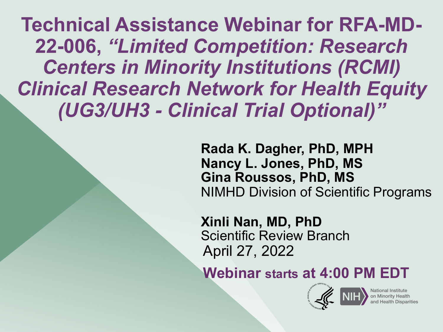**Technical Assistance Webinar for RFA-MD-***Centers in Minority Institutions (RCMI) Clinical Research Network for Health Equity (UG3/UH3 - Clinical Trial Optional)"*  **22-006,** *"Limited Competition: Research* 

> **Rada K. Dagher, PhD, MPH Nancy L. Jones, PhD, MS** NIMHD Division of Scientific Programs **Gina Roussos, PhD, MS**

 **Xinli Nan, MD, PhD** April 27, 2022 Scientific Review Branch

 **Webinar starts at 4:00 PM EDT** 

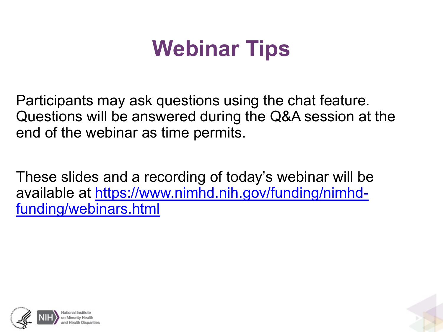# **Webinar Tips**

 Participants may ask questions using the chat feature. Questions will be answered during the Q&A session at the end of the webinar as time permits.

 These slides and a recording of today's webinar will be [available at https://www.nimhd.nih.gov/funding/nimhd](https://www.nimhd.nih.gov/funding/nimhd-funding/webinars.html)funding/webinars.html



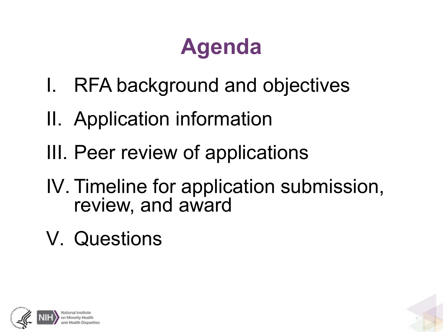# **Agenda**

- I. RFA background and objectives
- II. Application information
- III. Peer review of applications
- IV. Timeline for application submission, review, and award
- V. Questions

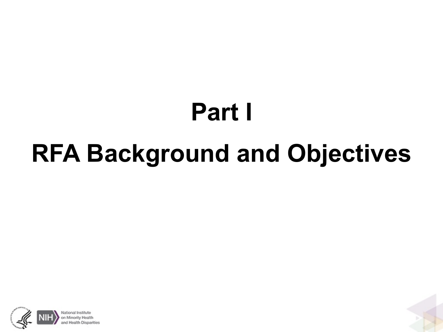# **Part I RFA Background and Objectives**

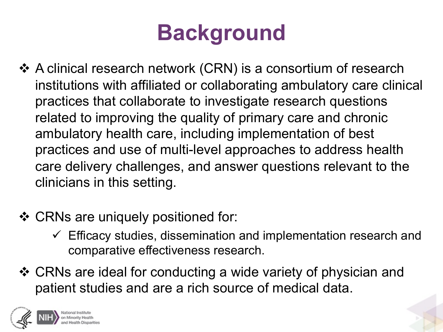# **Background**

- • A clinical research network (CRN) is a consortium of research institutions with affiliated or collaborating ambulatory care clinical practices that collaborate to investigate research questions related to improving the quality of primary care and chronic ambulatory health care, including implementation of best practices and use of multi-level approaches to address health care delivery challenges, and answer questions relevant to the clinicians in this setting.
- CRNs are uniquely positioned for:
	- $\checkmark$  Efficacy studies, dissemination and implementation research and comparative effectiveness research.
- • CRNs are ideal for conducting a wide variety of physician and patient studies and are a rich source of medical data.

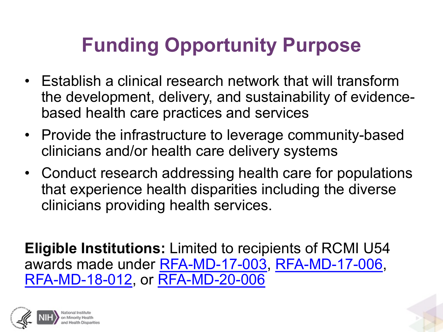## **Funding Opportunity Purpose**

- • Establish a clinical research network that will transform the development, delivery, and sustainability of evidence-based health care practices and services
- • Provide the infrastructure to leverage community-based clinicians and/or health care delivery systems
- • Conduct research addressing health care for populations that experience health disparities including the diverse clinicians providing health services.

 **Eligible Institutions:** Limited to recipients of RCMI U54 awards made under [RFA-MD-17-003](https://grants.nih.gov/grants/guide/rfa-files/RFA-MD-17-003.html), [RFA-MD-17-006](https://grants.nih.gov/grants/guide/rfa-files/RFA-MD-17-006.html), [RFA-MD-18-012](https://grants.nih.gov/grants/guide/rfa-files/RFA-MD-18-012.html), or [RFA-MD-20-006](https://grants.nih.gov/grants/guide/rfa-files/RFA-MD-20-006.html)

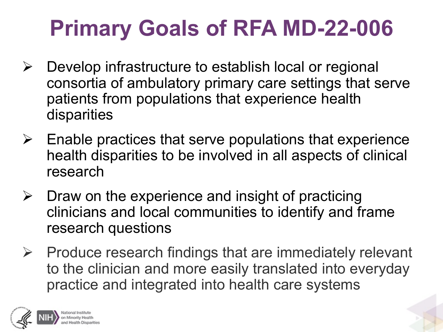# **Primary Goals of RFA MD-22-006**

- $\triangleright$  Develop infrastructure to establish local or regional consortia of ambulatory primary care settings that serve patients from populations that experience health disparities
- $\triangleright$  Enable practices that serve populations that experience health disparities to be involved in all aspects of clinical research
- $\triangleright$  Draw on the experience and insight of practicing clinicians and local communities to identify and frame research questions
- $\triangleright$  Produce research findings that are immediately relevant to the clinician and more easily translated into everyday practice and integrated into health care systems

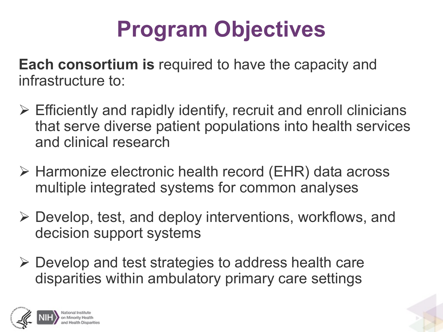# **Program Objectives**

Each consortium is required to have the capacity and infrastructure to:

- $\triangleright$  Efficiently and rapidly identify, recruit and enroll clinicians that serve diverse patient populations into health services and clinical research
- • Harmonize electronic health record (EHR) data across multiple integrated systems for common analyses
- $\triangleright$  Develop, test, and deploy interventions, workflows, and decision support systems
- $\triangleright$  Develop and test strategies to address health care disparities within ambulatory primary care settings

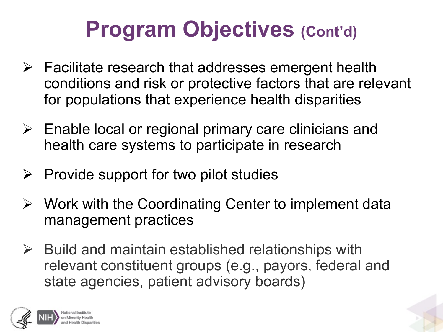# **Program Objectives (Cont'd)**

- $\triangleright$  Facilitate research that addresses emergent health conditions and risk or protective factors that are relevant for populations that experience health disparities
- $\triangleright$  Enable local or regional primary care clinicians and health care systems to participate in research
- $\triangleright$  Provide support for two pilot studies
- $\triangleright$  Work with the Coordinating Center to implement data management practices
- $\triangleright$  Build and maintain established relationships with relevant constituent groups (e.g., payors, federal and state agencies, patient advisory boards)

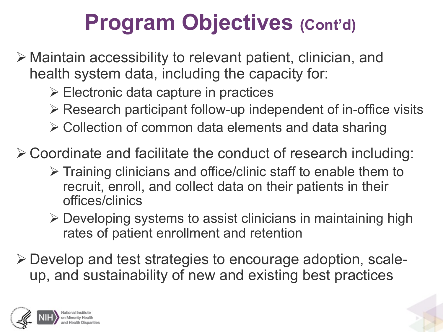# **Program Objectives (Cont'd)**

 • Maintain accessibility to relevant patient, clinician, and health system data, including the capacity for:

• Electronic data capture in practices

• Research participant follow-up independent of in-office visits

• Collection of common data elements and data sharing

•Coordinate and facilitate the conduct of research including:

- $\triangleright$  Training clinicians and office/clinic staff to enable them to recruit, enroll, and collect data on their patients in their offices/clinics
- $\triangleright$  Developing systems to assist clinicians in maintaining high rates of patient enrollment and retention
- •Develop and test strategies to encourage adoption, scale-up, and sustainability of new and existing best practices

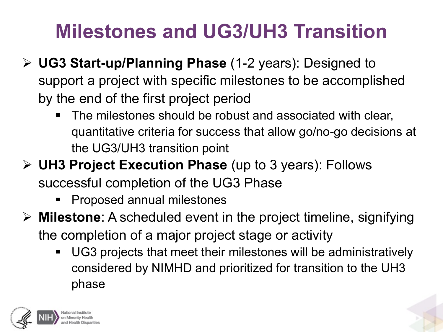## **Milestones and UG3/UH3 Transition**

- • **UG3 Start-up/Planning Phase** (1-2 years): Designed to support a project with specific milestones to be accomplished by the end of the first project period
	- • The milestones should be robust and associated with clear, quantitative criteria for success that allow go/no-go decisions at the UG3/UH3 transition point
- **UH3 Project Execution Phase** (up to 3 years): Follows successful completion of the UG3 Phase
	- **Proposed annual milestones**
- • **Milestone**: A scheduled event in the project timeline, signifying the completion of a major project stage or activity
	- • UG3 projects that meet their milestones will be administratively considered by NIMHD and prioritized for transition to the UH3 phase

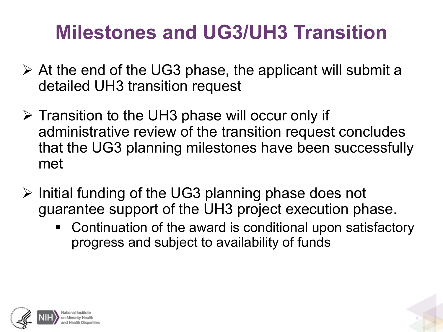## **Milestones and UG3/UH3 Transition**

- $\triangleright$  At the end of the UG3 phase, the applicant will submit a detailed UH3 transition request
- $\triangleright$  Transition to the UH3 phase will occur only if administrative review of the transition request concludes that the UG3 planning milestones have been successfully met
- $\triangleright$  Initial funding of the UG3 planning phase does not guarantee support of the UH3 project execution phase.
	- • Continuation of the award is conditional upon satisfactory progress and subject to availability of funds

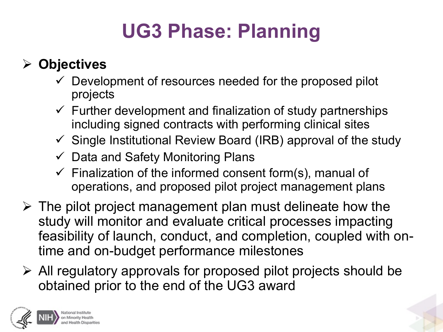## **UG3 Phase: Planning**

#### • **Objectives**

- $\checkmark$  Development of resources needed for the proposed pilot projects
- $\checkmark$  Further development and finalization of study partnerships including signed contracts with performing clinical sites
- $\checkmark$  Single Institutional Review Board (IRB) approval of the study
- $\checkmark$  Data and Safety Monitoring Plans
- $\checkmark$  Finalization of the informed consent form(s), manual of operations, and proposed pilot project management plans
- $\triangleright$  The pilot project management plan must delineate how the study will monitor and evaluate critical processes impacting feasibility of launch, conduct, and completion, coupled with ontime and on-budget performance milestones
- $\triangleright$  All regulatory approvals for proposed pilot projects should be obtained prior to the end of the UG3 award

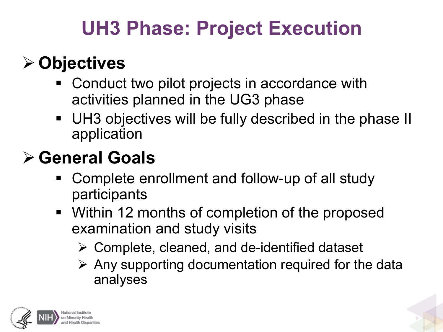### **UH3 Phase: Project Execution**

#### • **Objectives**

- • Conduct two pilot projects in accordance with activities planned in the UG3 phase
- • UH3 objectives will be fully described in the phase II application

#### • **General Goals**

- • Complete enrollment and follow-up of all study participants
- • Within 12 months of completion of the proposed examination and study visits
	- $\triangleright$  Complete, cleaned, and de-identified dataset
	- $\triangleright$  Any supporting documentation required for the data analyses

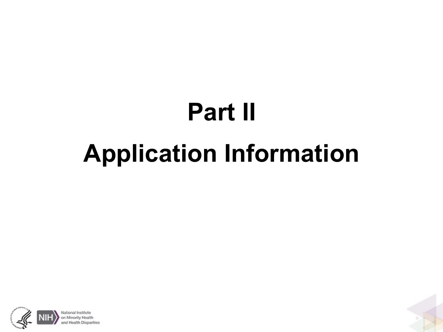# **Part II Application Information**



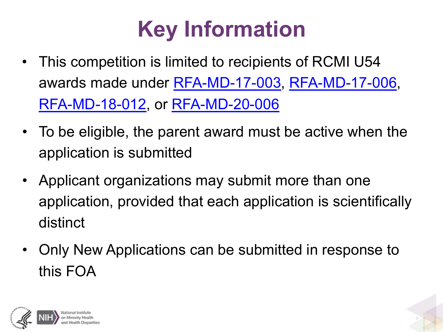# **Key Information**

- • This competition is limited to recipients of RCMI U54 awards made under [RFA-MD-17-003,](https://grants.nih.gov/grants/guide/rfa-files/RFA-MD-17-003.html) [RFA-MD-17-006](https://grants.nih.gov/grants/guide/rfa-files/RFA-MD-17-006.html), [RFA-MD-18-012,](https://grants.nih.gov/grants/guide/rfa-files/RFA-MD-18-012.html) or [RFA-MD-20-006](https://grants.nih.gov/grants/guide/rfa-files/RFA-MD-20-006.html)
- • To be eligible, the parent award must be active when the application is submitted
- • Applicant organizations may submit more than one application, provided that each application is scientifically distinct
- • Only New Applications can be submitted in response to this FOA

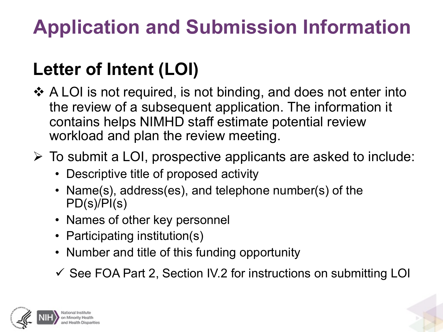## **Application and Submission Information**

#### **Letter of Intent (LOI)**

- • A LOI is not required, is not binding, and does not enter into the review of a subsequent application. The information it contains helps NIMHD staff estimate potential review workload and plan the review meeting.
- $\triangleright$  To submit a LOI, prospective applicants are asked to include:
	- Descriptive title of proposed activity
	- • Name(s), address(es), and telephone number(s) of the PD(s)/PI(s)
	- Names of other key personnel
	- Participating institution(s)
	- Number and title of this funding opportunity
	- $\checkmark$  See FOA Part 2, Section IV.2 for instructions on submitting LOI

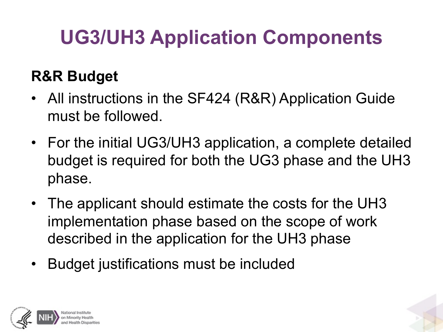## **UG3/UH3 Application Components**

#### **R&R Budget**

- • All instructions in the SF424 (R&R) Application Guide must be followed.
- • For the initial UG3/UH3 application, a complete detailed budget is required for both the UG3 phase and the UH3 phase.
- • The applicant should estimate the costs for the UH3 implementation phase based on the scope of work described in the application for the UH3 phase
- Budget justifications must be included

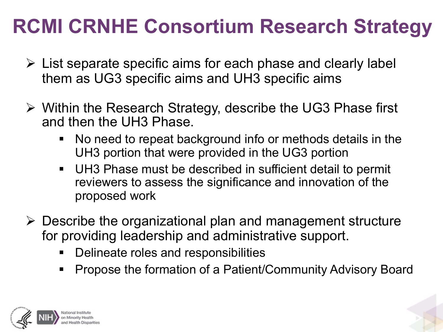- $\triangleright$  List separate specific aims for each phase and clearly label them as UG3 specific aims and UH3 specific aims
- $\triangleright$  Within the Research Strategy, describe the UG3 Phase first and then the UH3 Phase.
	- • No need to repeat background info or methods details in the UH3 portion that were provided in the UG3 portion
	- • UH3 Phase must be described in sufficient detail to permit reviewers to assess the significance and innovation of the proposed work
- $\triangleright$  Describe the organizational plan and management structure for providing leadership and administrative support.
	- Delineate roles and responsibilities
	- Propose the formation of a Patient/Community Advisory Board

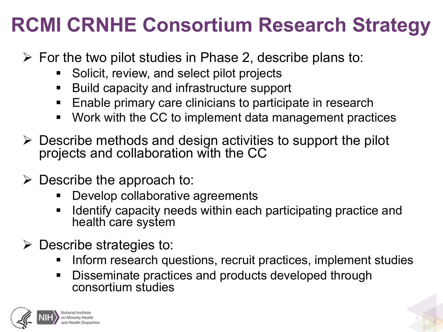- $\triangleright$  For the two pilot studies in Phase 2, describe plans to:
	- Solicit, review, and select pilot projects
	- Build capacity and infrastructure support
	- Enable primary care clinicians to participate in research
	- Work with the CC to implement data management practices
- $\triangleright$  Describe methods and design activities to support the pilot projects and collaboration with the CC
- $\triangleright$  Describe the approach to:
	- Develop collaborative agreements
	- • Identify capacity needs within each participating practice and health care system
- $\triangleright$  Describe strategies to:
	- Inform research questions, recruit practices, implement studies
	- • Disseminate practices and products developed through consortium studies

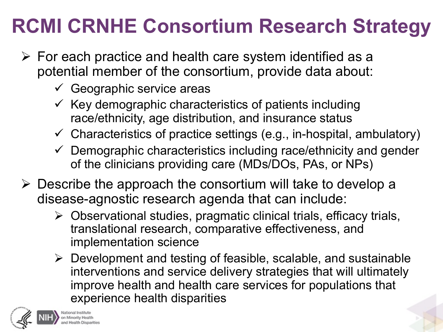- $\triangleright$  For each practice and health care system identified as a potential member of the consortium, provide data about:
	- $\checkmark$  Geographic service areas
	- race/ethnicity, age distribution, and insurance status  $\checkmark$  Key demographic characteristics of patients including
	- $\checkmark$  Characteristics of practice settings (e.g., in-hospital, ambulatory)
	- $\checkmark$  Demographic characteristics including race/ethnicity and gender of the clinicians providing care (MDs/DOs, PAs, or NPs)
- $\triangleright$  Describe the approach the consortium will take to develop a disease-agnostic research agenda that can include:
	- $\triangleright$  Observational studies, pragmatic clinical trials, efficacy trials, translational research, comparative effectiveness, and implementation science
	- $\triangleright$  Development and testing of feasible, scalable, and sustainable interventions and service delivery strategies that will ultimately improve health and health care services for populations that experience health disparities

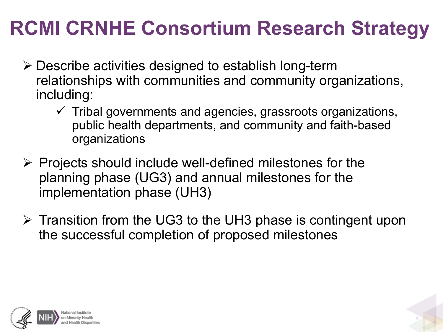- • Describe activities designed to establish long-term relationships with communities and community organizations, including:
	- $\checkmark$  Tribal governments and agencies, grassroots organizations, public health departments, and community and faith-based organizations
- $\triangleright$  Projects should include well-defined milestones for the planning phase (UG3) and annual milestones for the implementation phase (UH3)
- $\triangleright$  Transition from the UG3 to the UH3 phase is contingent upon the successful completion of proposed milestones

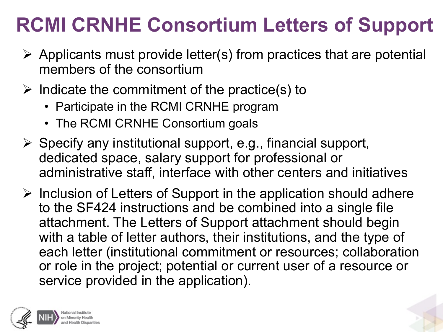### **RCMI CRNHE Consortium Letters of Support**

- $\triangleright$  Applicants must provide letter(s) from practices that are potential members of the consortium
- $\triangleright$  Indicate the commitment of the practice(s) to
	- Participate in the RCMI CRNHE program
	- The RCMI CRNHE Consortium goals
- $\triangleright$  Specify any institutional support, e.g., financial support, dedicated space, salary support for professional or administrative staff, interface with other centers and initiatives
- $\triangleright$  Inclusion of Letters of Support in the application should adhere to the SF424 instructions and be combined into a single file attachment. The Letters of Support attachment should begin with a table of letter authors, their institutions, and the type of each letter (institutional commitment or resources; collaboration or role in the project; potential or current user of a resource or service provided in the application).

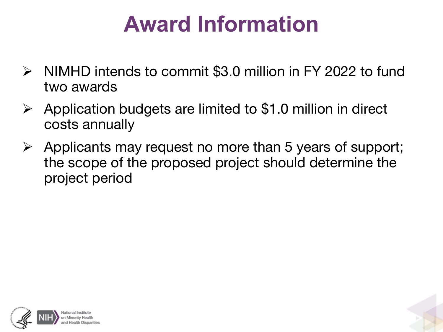# **Award Information**

- • NIMHD intends to commit \$3.0 million in FY 2022 to fund two awards
- $\triangleright$  Application budgets are limited to \$1.0 million in direct costs annually
- $\triangleright$  Applicants may request no more than 5 years of support; the scope of the proposed project should determine the project period



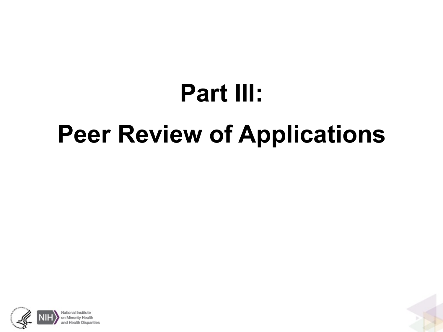# **Peer Review of Applications Part III:**



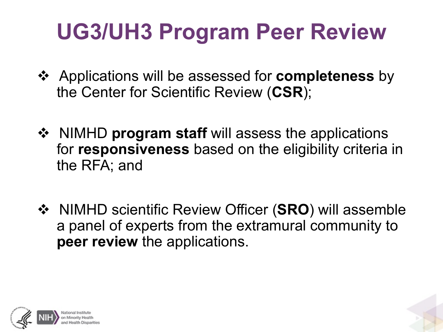# **UG3/UH3 Program Peer Review**

- • Applications will be assessed for **completeness** by the Center for Scientific Review (**CSR**);
- • NIMHD **program staff** will assess the applications for **responsiveness** based on the eligibility criteria in the RFA; and
- • NIMHD scientific Review Officer (**SRO**) will assemble a panel of experts from the extramural community to **peer review** the applications.

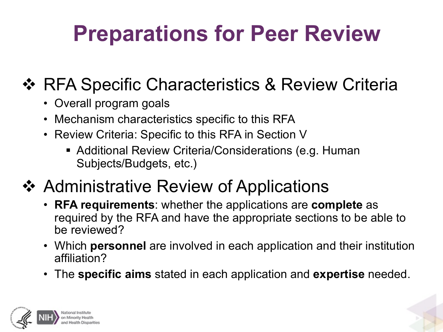# **Preparations for Peer Review**

#### ◆ RFA Specific Characteristics & Review Criteria

- Overall program goals
- Mechanism characteristics specific to this RFA
- • Review Criteria: Specific to this RFA in Section V
	- • Additional Review Criteria/Considerations (e.g. Human Subjects/Budgets, etc.)
- ❖ Administrative Review of Applications
	- • **RFA requirements**: whether the applications are **complete** as required by the RFA and have the appropriate sections to be able to be reviewed?
	- • Which **personnel** are involved in each application and their institution affiliation?
	- The **specific aims** stated in each application and **expertise** needed.

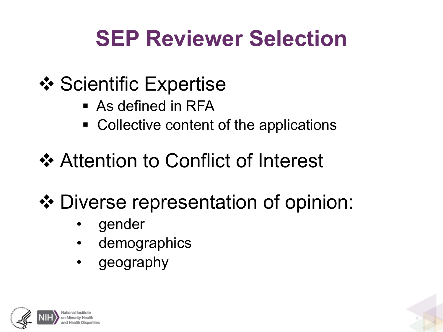# **SEP Reviewer Selection**

- **❖ Scientific Expertise** 
	- As defined in RFA
	- Collective content of the applications
- **❖ Attention to Conflict of Interest**
- • Diverse representation of opinion:
	- gender
	- demographics
	- geography

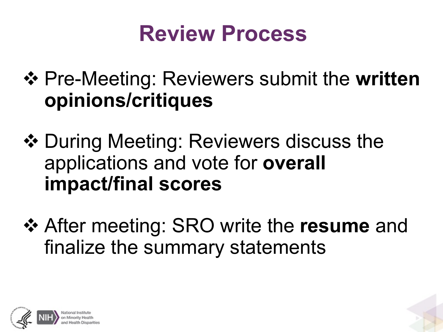## **Review Process**

- • Pre-Meeting: Reviewers submit the **written opinions/critiques**
- ◆ During Meeting: Reviewers discuss the applications and vote for **overall impact/final scores**
- • After meeting: SRO write the **resume** and finalize the summary statements

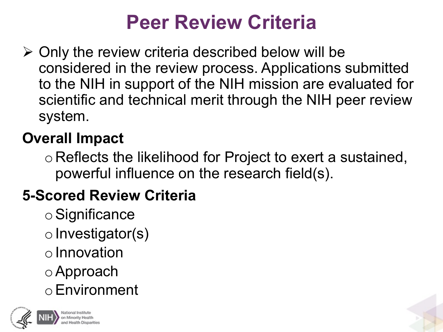#### **Peer Review Criteria**

 $\triangleright$  Only the review criteria described below will be considered in the review process. Applications submitted to the NIH in support of the NIH mission are evaluated for scientific and technical merit through the NIH peer review system.

#### **Overall Impact**

 o Reflects the likelihood for Project to exert a sustained, powerful influence on the research field(s).

#### **5-Scored Review Criteria**

oSignificance  $\circ$  Investigator(s)  $\circ$  Innovation oApproach oEnvironment



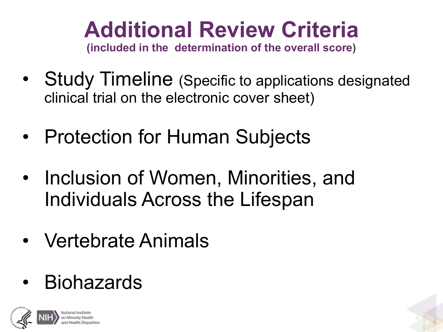# **Additional Review Criteria**

 **(included in the determination of the overall score)** 

- clinical trial on the electronic cover sheet) • Study Timeline (Specific to applications designated
- Protection for Human Subjects
- • Inclusion of Women, Minorities, and Individuals Across the Lifespan
- Vertebrate Animals
- Biohazards



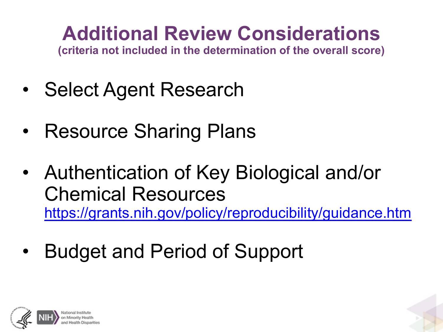## **Additional Review Considerations**

**(criteria not included in the determination of the overall score)** 

- Select Agent Research
- Resource Sharing Plans
- • Authentication of Key Biological and/or Chemical Resources <https://grants.nih.gov/policy/reproducibility/guidance.htm>
- Budget and Period of Support

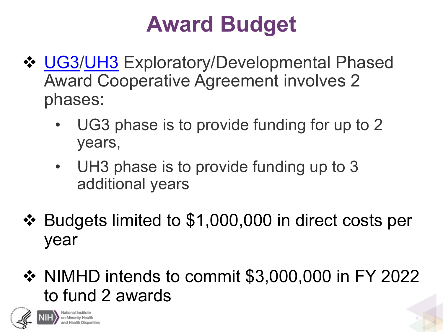# **Award Budget**

- ◆ [UG3](https://grants.nih.gov/grants/funding/ac_search_results.htm?text_curr=ug3&Search.x=0&Search.y=0&Search_Type=Activity)[/UH3](https://grants.nih.gov/grants/funding/ac_search_results.htm?text_curr=uh3&Search.x=0&Search.y=0&Search_Type=Activity) Exploratory/Developmental Phased Award Cooperative Agreement involves 2 phases:
	- • UG3 phase is to provide funding for up to 2 years,
	- • UH3 phase is to provide funding up to 3 additional years
- • Budgets limited to \$1,000,000 in direct costs per year
- • NIMHD intends to commit \$3,000,000 in FY 2022 to fund 2 awards

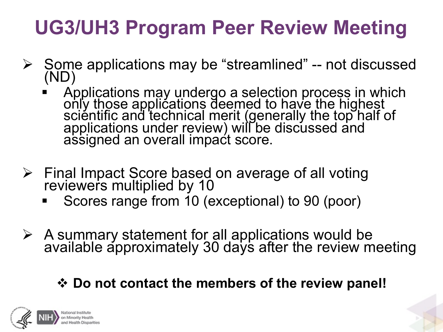## **UG3/UH3 Program Peer Review Meeting**

- • Some applications may be "streamlined" -- not discussed (ND)
	- Applications may undergo a selection process in which only those applications deemed to have the highest scientific and technical merit (generally the top half of applications under review) will be discussed and assigned an overall impact score.
- > Final Impact Score based on average of all voting reviewers multiplied by 10
	- Scores range from 10 (exceptional) to 90 (poor)
- $\triangleright$  A summary statement for all applications would be available approximately 30 days after the review meeting

#### • **Do not contact the members of the review panel!**

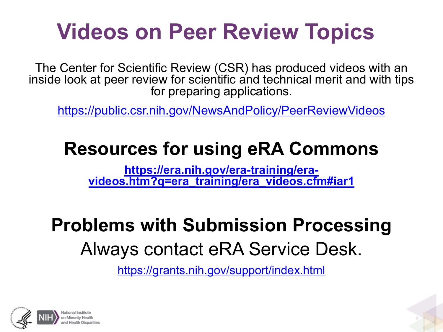# **Videos on Peer Review Topics**

 The Center for Scientific Review (CSR) has produced videos with an inside look at peer review for scientific and technical merit and with tips for preparing applications.

<https://public.csr.nih.gov/NewsAndPolicy/PeerReviewVideos>

#### **Resources for using eRA Commons**

**https://era.nih.gov/era-training/era- [videos.htm?q=era\\_training/era\\_videos.cfm#iar1](https://era.nih.gov/era-training/era-videos.htm?q=era_training/era_videos.cfm)** 

#### **Problems with Submission Processing**  Always contact eRA Service Desk.

<https://grants.nih.gov/support/index.html>

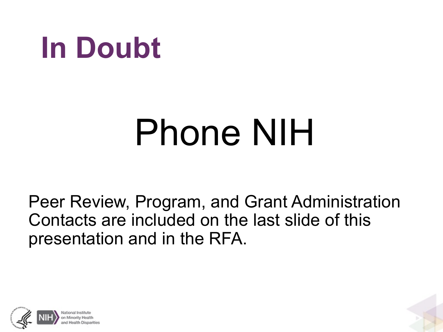# **In Doubt**

# Phone NIH

 Peer Review, Program, and Grant Administration Contacts are included on the last slide of this presentation and in the RFA.



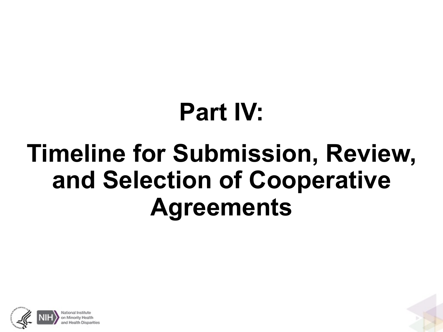# **Part IV:**

# **Timeline for Submission, Review, and Selection of Cooperative Agreements**



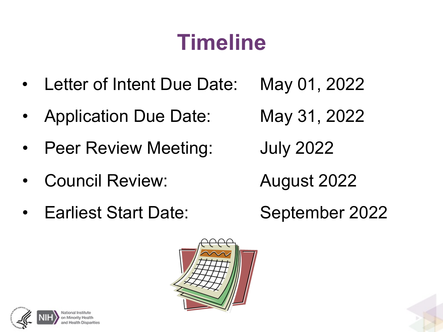# **Timeline**

- Letter of Intent Due Date: May 01, 2022
- Application Due Date: May 31, 2022
- Peer Review Meeting: July 2022
- Council Review: August 2022
- Earliest Start Date:

September 2022



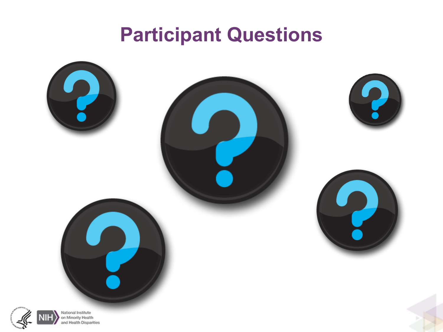#### **Participant Questions**